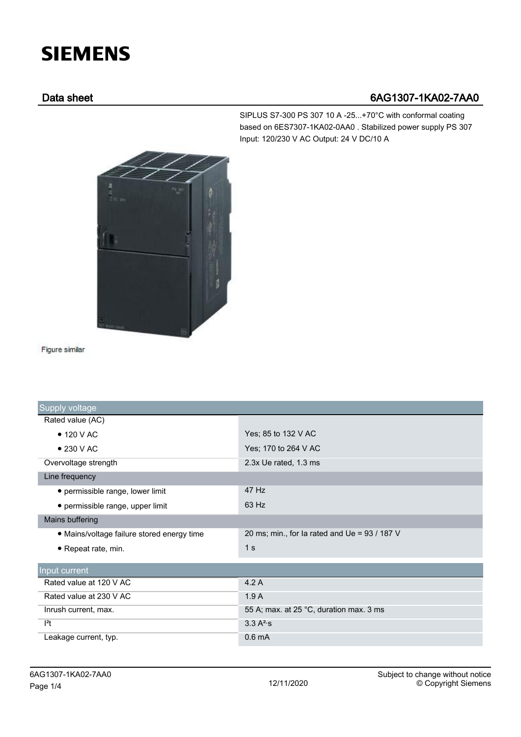## **SIEMENS**

## Data sheet 6AG1307-1KA02-7AA0

SIPLUS S7-300 PS 307 10 A -25...+70°C with conformal coating based on 6ES7307-1KA02-0AA0 . Stabilized power supply PS 307 Input: 120/230 V AC Output: 24 V DC/10 A



Figure similar

| Supply voltage                             |                                                 |
|--------------------------------------------|-------------------------------------------------|
| Rated value (AC)                           |                                                 |
| $\bullet$ 120 V AC                         | Yes; 85 to 132 V AC                             |
| $\bullet$ 230 V AC                         | Yes; 170 to 264 V AC                            |
| Overvoltage strength                       | 2.3x Ue rated, 1.3 ms                           |
| Line frequency                             |                                                 |
| • permissible range, lower limit           | 47 Hz                                           |
| • permissible range, upper limit           | 63 Hz                                           |
| Mains buffering                            |                                                 |
| • Mains/voltage failure stored energy time | 20 ms; min., for la rated and Ue = $93 / 187 V$ |
| • Repeat rate, min.                        | 1 <sub>s</sub>                                  |
| Input current                              |                                                 |
| Rated value at 120 V AC                    | 4.2A                                            |
| Rated value at 230 V AC                    | 1.9A                                            |
| Inrush current, max.                       | 55 A; max. at 25 °C, duration max. 3 ms         |
| $ ^{2}t$                                   | 3.3 A <sup>2</sup> ·s                           |
| Leakage current, typ.                      | 0.6 <sub>m</sub> A                              |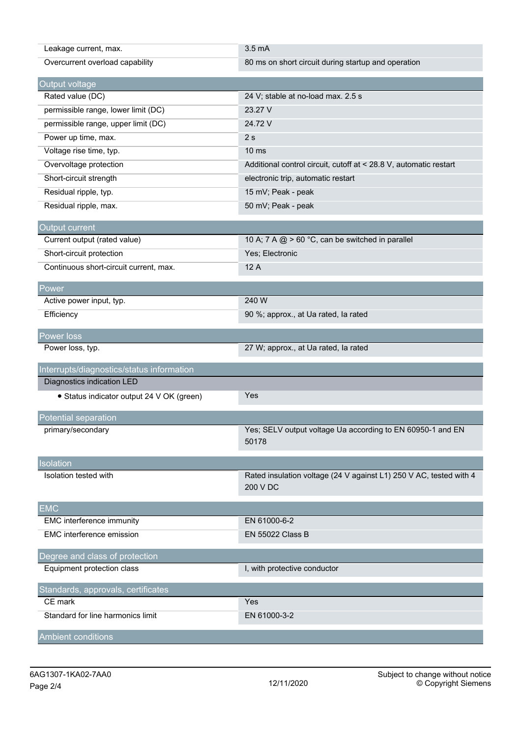| Leakage current, max.                     | $3.5 \text{ mA}$                                                               |
|-------------------------------------------|--------------------------------------------------------------------------------|
| Overcurrent overload capability           | 80 ms on short circuit during startup and operation                            |
| Output voltage                            |                                                                                |
| Rated value (DC)                          | 24 V; stable at no-load max. 2.5 s                                             |
| permissible range, lower limit (DC)       | 23.27 V                                                                        |
| permissible range, upper limit (DC)       | 24.72 V                                                                        |
| Power up time, max.                       | 2s                                                                             |
| Voltage rise time, typ.                   | 10 <sub>ms</sub>                                                               |
| Overvoltage protection                    | Additional control circuit, cutoff at < 28.8 V, automatic restart              |
| Short-circuit strength                    | electronic trip, automatic restart                                             |
| Residual ripple, typ.                     | 15 mV; Peak - peak                                                             |
| Residual ripple, max.                     | 50 mV; Peak - peak                                                             |
| Output current                            |                                                                                |
| Current output (rated value)              | 10 A; 7 A @ > 60 °C, can be switched in parallel                               |
| Short-circuit protection                  | Yes; Electronic                                                                |
| Continuous short-circuit current, max.    | 12A                                                                            |
| Power                                     |                                                                                |
| Active power input, typ.                  | 240 W                                                                          |
| Efficiency                                | 90 %; approx., at Ua rated, la rated                                           |
| Power loss                                |                                                                                |
| Power loss, typ.                          | 27 W; approx., at Ua rated, la rated                                           |
| Interrupts/diagnostics/status information |                                                                                |
| Diagnostics indication LED                |                                                                                |
| • Status indicator output 24 V OK (green) | Yes                                                                            |
| Potential separation                      |                                                                                |
| primary/secondary                         | Yes; SELV output voltage Ua according to EN 60950-1 and EN<br>50178            |
| Isolation                                 |                                                                                |
| Isolation tested with                     | Rated insulation voltage (24 V against L1) 250 V AC, tested with 4<br>200 V DC |
| <b>EMC</b>                                |                                                                                |
| EMC interference immunity                 | EN 61000-6-2                                                                   |
| EMC interference emission                 | <b>EN 55022 Class B</b>                                                        |
| Degree and class of protection            |                                                                                |
| Equipment protection class                | I, with protective conductor                                                   |
| Standards, approvals, certificates        |                                                                                |
| CE mark                                   | Yes                                                                            |
| Standard for line harmonics limit         |                                                                                |
|                                           | EN 61000-3-2                                                                   |